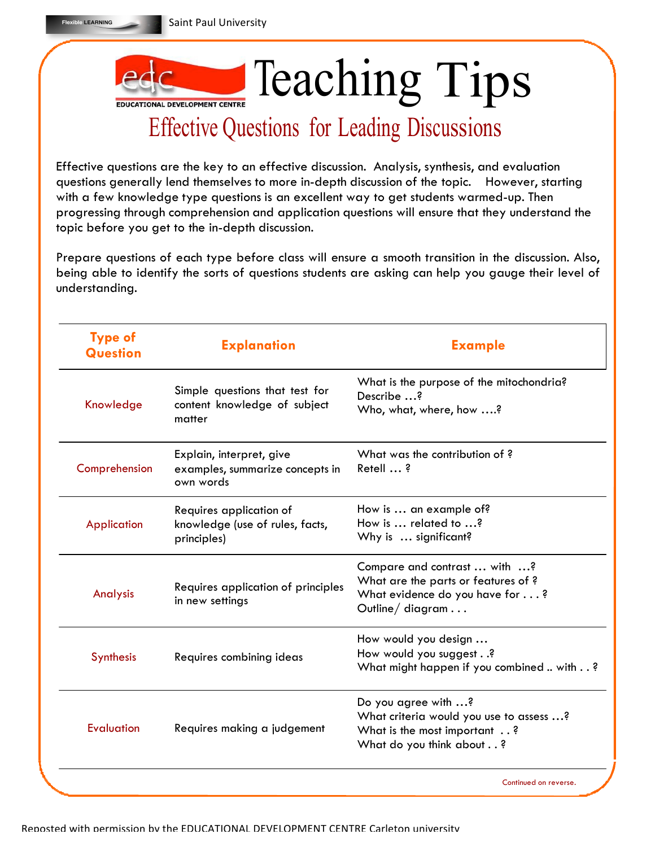**LEARNING** 



## Effective Questions for Leading Discussions

Effective questions are the key to an effective discussion. Analysis, synthesis, and evaluation questions generally lend themselves to more in-depth discussion of the topic. However, starting with a few knowledge type questions is an excellent way to get students warmed-up. Then progressing through comprehension and application questions will ensure that they understand the topic before you get to the in-depth discussion.

Prepare questions of each type before class will ensure a smooth transition in the discussion. Also, being able to identify the sorts of questions students are asking can help you gauge their level of understanding.

| <b>Type of</b><br><b>Question</b> | <b>Explanation</b>                                                        | <b>Example</b>                                                                                                                    |
|-----------------------------------|---------------------------------------------------------------------------|-----------------------------------------------------------------------------------------------------------------------------------|
| Knowledge                         | Simple questions that test for<br>content knowledge of subject<br>matter  | What is the purpose of the mitochondria?<br>Describe ?<br>Who, what, where, how ?                                                 |
| Comprehension                     | Explain, interpret, give<br>examples, summarize concepts in<br>own words  | What was the contribution of ?<br>Retell ?                                                                                        |
| <b>Application</b>                | Requires application of<br>knowledge (use of rules, facts,<br>principles) | How is  an example of?<br>How is  related to ?<br>Why is  significant?                                                            |
| Analysis                          | Requires application of principles<br>in new settings                     | Compare and contrast  with ?<br>What are the parts or features of?<br>What evidence do you have for ?<br>Outline/diagram $\ldots$ |
| <b>Synthesis</b>                  | Requires combining ideas                                                  | How would you design<br>How would you suggest?<br>What might happen if you combined  with?                                        |
| <b>Evaluation</b>                 | Requires making a judgement                                               | Do you agree with ?<br>What criteria would you use to assess ?<br>What is the most important?<br>What do you think about?         |
|                                   |                                                                           | Continued on reverse.                                                                                                             |